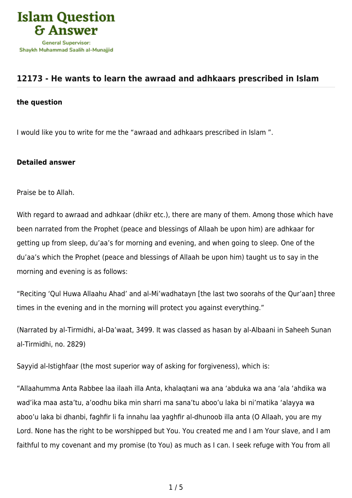

## **[12173 - He wants to learn the awraad and adhkaars prescribed in Islam](https://islamqa.com/en/answers/12173/he-wants-to-learn-the-awraad-and-adhkaars-prescribed-in-islam)**

## **the question**

I would like you to write for me the "awraad and adhkaars prescribed in Islam ".

## **Detailed answer**

Praise be to Allah.

With regard to awraad and adhkaar (dhikr etc.), there are many of them. Among those which have been narrated from the Prophet (peace and blessings of Allaah be upon him) are adhkaar for getting up from sleep, du'aa's for morning and evening, and when going to sleep. One of the du'aa's which the Prophet (peace and blessings of Allaah be upon him) taught us to say in the morning and evening is as follows:

"Reciting 'Qul Huwa Allaahu Ahad' and al-Mi'wadhatayn [the last two soorahs of the Qur'aan] three times in the evening and in the morning will protect you against everything."

(Narrated by al-Tirmidhi, al-Da'waat, 3499. It was classed as hasan by al-Albaani in Saheeh Sunan al-Tirmidhi, no. 2829)

Sayyid al-Istighfaar (the most superior way of asking for forgiveness), which is:

"Allaahumma Anta Rabbee laa ilaah illa Anta, khalaqtani wa ana 'abduka wa ana 'ala 'ahdika wa wad'ika maa asta'tu, a'oodhu bika min sharri ma sana'tu aboo'u laka bi ni'matika 'alayya wa aboo'u laka bi dhanbi, faghfir li fa innahu laa yaghfir al-dhunoob illa anta (O Allaah, you are my Lord. None has the right to be worshipped but You. You created me and I am Your slave, and I am faithful to my covenant and my promise (to You) as much as I can. I seek refuge with You from all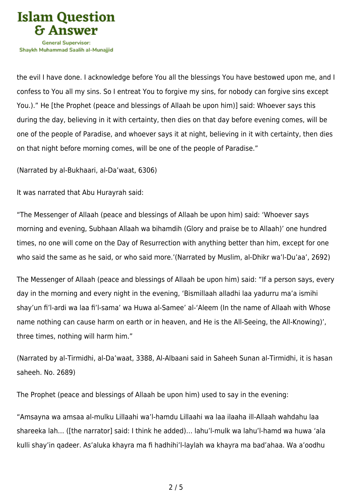

the evil I have done. I acknowledge before You all the blessings You have bestowed upon me, and I confess to You all my sins. So I entreat You to forgive my sins, for nobody can forgive sins except You.)." He [the Prophet (peace and blessings of Allaah be upon him)] said: Whoever says this during the day, believing in it with certainty, then dies on that day before evening comes, will be one of the people of Paradise, and whoever says it at night, believing in it with certainty, then dies on that night before morning comes, will be one of the people of Paradise."

(Narrated by al-Bukhaari, al-Da'waat, 6306)

It was narrated that Abu Hurayrah said:

"The Messenger of Allaah (peace and blessings of Allaah be upon him) said: 'Whoever says morning and evening, Subhaan Allaah wa bihamdih (Glory and praise be to Allaah)' one hundred times, no one will come on the Day of Resurrection with anything better than him, except for one who said the same as he said, or who said more.'(Narrated by Muslim, al-Dhikr wa'l-Du'aa', 2692)

The Messenger of Allaah (peace and blessings of Allaah be upon him) said: "If a person says, every day in the morning and every night in the evening, 'Bismillaah alladhi laa yadurru ma'a ismihi shay'un fi'l-ardi wa laa fi'l-sama' wa Huwa al-Samee' al-'Aleem (In the name of Allaah with Whose name nothing can cause harm on earth or in heaven, and He is the All-Seeing, the All-Knowing)', three times, nothing will harm him."

(Narrated by al-Tirmidhi, al-Da'waat, 3388, Al-Albaani said in Saheeh Sunan al-Tirmidhi, it is hasan saheeh. No. 2689)

The Prophet (peace and blessings of Allaah be upon him) used to say in the evening:

"Amsayna wa amsaa al-mulku Lillaahi wa'l-hamdu Lillaahi wa laa ilaaha ill-Allaah wahdahu laa shareeka lah… ([the narrator] said: I think he added)… lahu'l-mulk wa lahu'l-hamd wa huwa 'ala kulli shay'in qadeer. As'aluka khayra ma fi hadhihi'l-laylah wa khayra ma bad'ahaa. Wa a'oodhu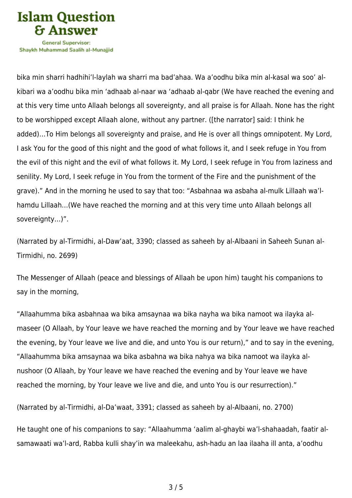

Shavkh Muhammad Saalih al-Munaiiid

bika min sharri hadhihi'l-laylah wa sharri ma bad'ahaa. Wa a'oodhu bika min al-kasal wa soo' alkibari wa a'oodhu bika min 'adhaab al-naar wa 'adhaab al-qabr (We have reached the evening and at this very time unto Allaah belongs all sovereignty, and all praise is for Allaah. None has the right to be worshipped except Allaah alone, without any partner. ([the narrator] said: I think he added)…To Him belongs all sovereignty and praise, and He is over all things omnipotent. My Lord, I ask You for the good of this night and the good of what follows it, and I seek refuge in You from the evil of this night and the evil of what follows it. My Lord, I seek refuge in You from laziness and senility. My Lord, I seek refuge in You from the torment of the Fire and the punishment of the grave)." And in the morning he used to say that too: "Asbahnaa wa asbaha al-mulk Lillaah wa'lhamdu Lillaah…(We have reached the morning and at this very time unto Allaah belongs all sovereignty…)".

(Narrated by al-Tirmidhi, al-Daw'aat, 3390; classed as saheeh by al-Albaani in Saheeh Sunan al-Tirmidhi, no. 2699)

The Messenger of Allaah (peace and blessings of Allaah be upon him) taught his companions to say in the morning,

"Allaahumma bika asbahnaa wa bika amsaynaa wa bika nayha wa bika namoot wa ilayka almaseer (O Allaah, by Your leave we have reached the morning and by Your leave we have reached the evening, by Your leave we live and die, and unto You is our return)," and to say in the evening, "Allaahumma bika amsaynaa wa bika asbahna wa bika nahya wa bika namoot wa ilayka alnushoor (O Allaah, by Your leave we have reached the evening and by Your leave we have reached the morning, by Your leave we live and die, and unto You is our resurrection)."

(Narrated by al-Tirmidhi, al-Da'waat, 3391; classed as saheeh by al-Albaani, no. 2700)

He taught one of his companions to say: "Allaahumma 'aalim al-ghaybi wa'l-shahaadah, faatir alsamawaati wa'l-ard, Rabba kulli shay'in wa maleekahu, ash-hadu an laa ilaaha ill anta, a'oodhu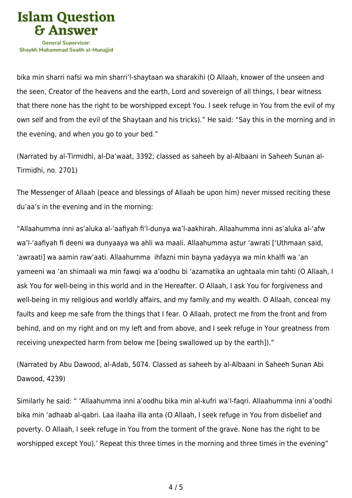

bika min sharri nafsi wa min sharri'l-shaytaan wa sharakihi (O Allaah, knower of the unseen and the seen, Creator of the heavens and the earth, Lord and sovereign of all things, I bear witness that there none has the right to be worshipped except You. I seek refuge in You from the evil of my own self and from the evil of the Shaytaan and his tricks)." He said: "Say this in the morning and in the evening, and when you go to your bed."

(Narrated by al-Tirmidhi, al-Da'waat, 3392; classed as saheeh by al-Albaani in Saheeh Sunan al-Tirmidhi, no. 2701)

The Messenger of Allaah (peace and blessings of Allaah be upon him) never missed reciting these du'aa's in the evening and in the morning:

"Allaahumma inni as'aluka al-'aafiyah fi'l-dunya wa'l-aakhirah. Allaahumma inni as'aluka al-'afw wa'l-'aafiyah fi deeni wa dunyaaya wa ahli wa maali. Allaahumma astur 'awrati ['Uthmaan said, 'awraati] wa aamin raw'aati. Allaahumma ihfazni min bayna yadayya wa min khalfi wa 'an yameeni wa 'an shimaali wa min fawqi wa a'oodhu bi 'azamatika an ughtaala min tahti (O Allaah, I ask You for well-being in this world and in the Hereafter. O Allaah, I ask You for forgiveness and well-being in my religious and worldly affairs, and my family and my wealth. O Allaah, conceal my faults and keep me safe from the things that I fear. O Allaah, protect me from the front and from behind, and on my right and on my left and from above, and I seek refuge in Your greatness from receiving unexpected harm from below me [being swallowed up by the earth])."

(Narrated by Abu Dawood, al-Adab, 5074. Classed as saheeh by al-Albaani in Saheeh Sunan Abi Dawood, 4239)

Similarly he said: " 'Allaahumma inni a'oodhu bika min al-kufri wa'l-faqri. Allaahumma inni a'oodhi bika min 'adhaab al-qabri. Laa ilaaha illa anta (O Allaah, I seek refuge in You from disbelief and poverty. O Allaah, I seek refuge in You from the torment of the grave. None has the right to be worshipped except You).' Repeat this three times in the morning and three times in the evening"